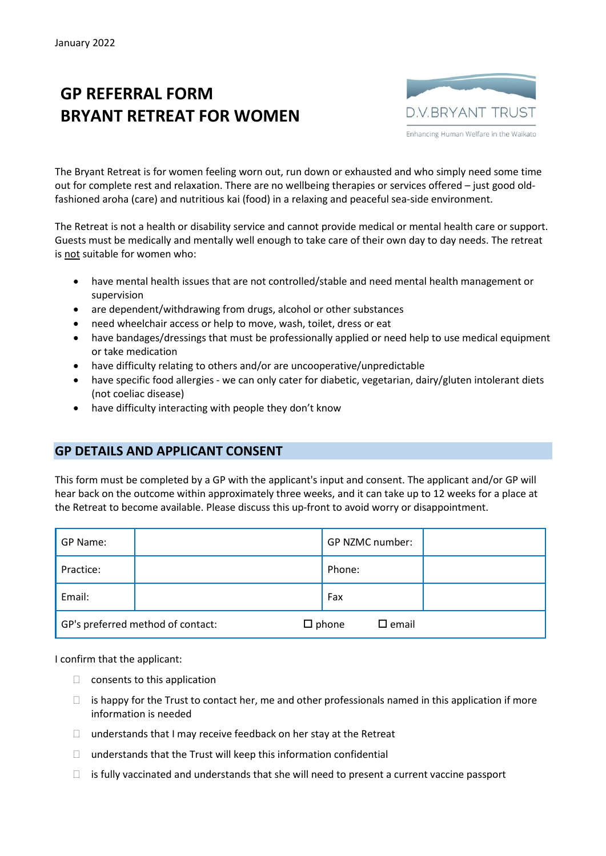## **GP REFERRAL FORM BRYANT RETREAT FOR WOMEN**



The Bryant Retreat is for women feeling worn out, run down or exhausted and who simply need some time out for complete rest and relaxation. There are no wellbeing therapies or services offered – just good oldfashioned aroha (care) and nutritious kai (food) in a relaxing and peaceful sea-side environment.

The Retreat is not a health or disability service and cannot provide medical or mental health care or support. Guests must be medically and mentally well enough to take care of their own day to day needs. The retreat is not suitable for women who:

- have mental health issues that are not controlled/stable and need mental health management or supervision
- are dependent/withdrawing from drugs, alcohol or other substances
- need wheelchair access or help to move, wash, toilet, dress or eat
- have bandages/dressings that must be professionally applied or need help to use medical equipment or take medication
- have difficulty relating to others and/or are uncooperative/unpredictable
- have specific food allergies we can only cater for diabetic, vegetarian, dairy/gluten intolerant diets (not coeliac disease)
- have difficulty interacting with people they don't know

## **GP DETAILS AND APPLICANT CONSENT**

This form must be completed by a GP with the applicant's input and consent. The applicant and/or GP will hear back on the outcome within approximately three weeks, and it can take up to 12 weeks for a place at the Retreat to become available. Please discuss this up-front to avoid worry or disappointment.

| GP Name:  |                                   | GP NZMC number:                    |  |
|-----------|-----------------------------------|------------------------------------|--|
| Practice: |                                   | Phone:                             |  |
| Email:    |                                   | Fax                                |  |
|           | GP's preferred method of contact: | $\square$ phone<br>$\square$ email |  |

I confirm that the applicant:

- $\Box$  consents to this application
- $\Box$  is happy for the Trust to contact her, me and other professionals named in this application if more information is needed
- $\Box$  understands that I may receive feedback on her stay at the Retreat
- $\Box$  understands that the Trust will keep this information confidential
- $\Box$  is fully vaccinated and understands that she will need to present a current vaccine passport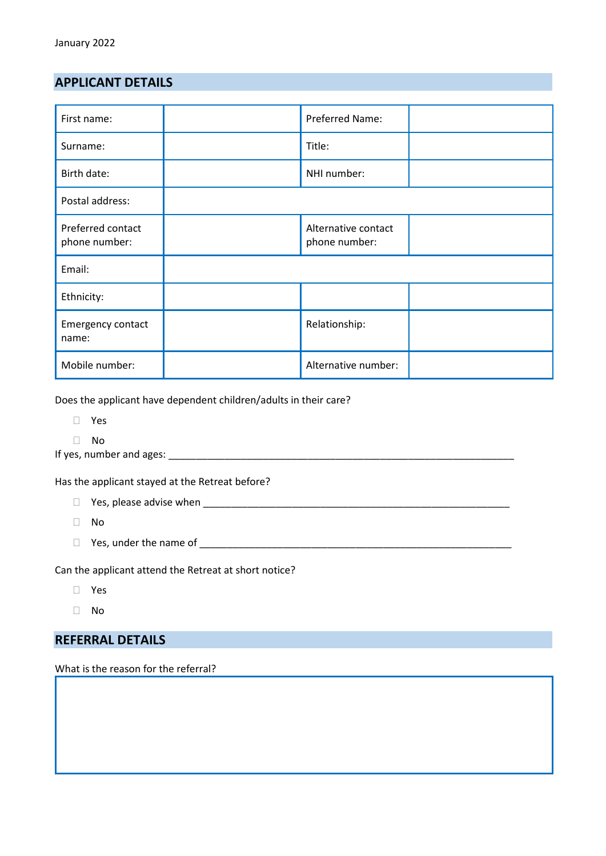## **APPLICANT DETAILS**

| First name:                        |  | Preferred Name:                      |  |  |
|------------------------------------|--|--------------------------------------|--|--|
| Surname:                           |  | Title:                               |  |  |
| Birth date:                        |  | NHI number:                          |  |  |
| Postal address:                    |  |                                      |  |  |
| Preferred contact<br>phone number: |  | Alternative contact<br>phone number: |  |  |
| Email:                             |  |                                      |  |  |
| Ethnicity:                         |  |                                      |  |  |
| Emergency contact<br>name:         |  | Relationship:                        |  |  |
| Mobile number:                     |  | Alternative number:                  |  |  |

Does the applicant have dependent children/adults in their care?

- Yes
- No
- If yes, number and ages: \_\_\_\_\_\_\_\_\_\_\_\_\_\_\_\_\_\_\_\_\_\_\_\_\_\_\_\_\_\_\_\_\_\_\_\_\_\_\_\_\_\_\_\_\_\_\_\_\_\_\_\_\_\_\_\_\_\_\_\_\_\_

Has the applicant stayed at the Retreat before?

- Yes, please advise when \_\_\_\_\_\_\_\_\_\_\_\_\_\_\_\_\_\_\_\_\_\_\_\_\_\_\_\_\_\_\_\_\_\_\_\_\_\_\_\_\_\_\_\_\_\_\_\_\_\_\_\_\_\_\_
- $\Box$  No
- Yes, under the name of \_\_\_\_\_\_\_\_\_\_\_\_\_\_\_\_\_\_\_\_\_\_\_\_\_\_\_\_\_\_\_\_\_\_\_\_\_\_\_\_\_\_\_\_\_\_\_\_\_\_\_\_\_\_\_\_

Can the applicant attend the Retreat at short notice?

- Yes
- No

## **REFERRAL DETAILS**

What is the reason for the referral?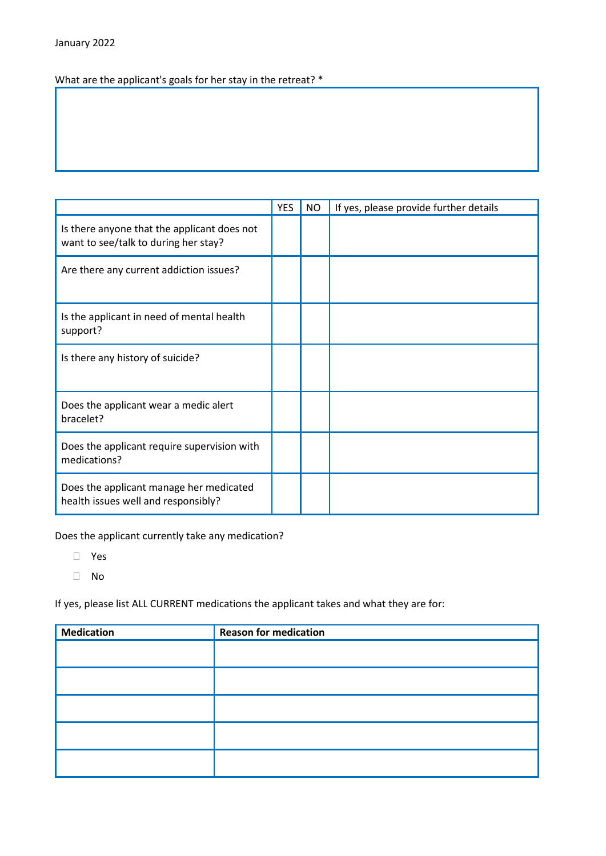What are the applicant's goals for her stay in the retreat? \*

|                                                                                     | <b>YES</b> | <b>NO</b> | If yes, please provide further details |
|-------------------------------------------------------------------------------------|------------|-----------|----------------------------------------|
| Is there anyone that the applicant does not<br>want to see/talk to during her stay? |            |           |                                        |
| Are there any current addiction issues?                                             |            |           |                                        |
| Is the applicant in need of mental health<br>support?                               |            |           |                                        |
| Is there any history of suicide?                                                    |            |           |                                        |
| Does the applicant wear a medic alert<br>bracelet?                                  |            |           |                                        |
| Does the applicant require supervision with<br>medications?                         |            |           |                                        |
| Does the applicant manage her medicated<br>health issues well and responsibly?      |            |           |                                        |

Does the applicant currently take any medication?

- Yes
- No

If yes, please list ALL CURRENT medications the applicant takes and what they are for:

| <b>Medication</b> | <b>Reason for medication</b> |
|-------------------|------------------------------|
|                   |                              |
|                   |                              |
|                   |                              |
|                   |                              |
|                   |                              |